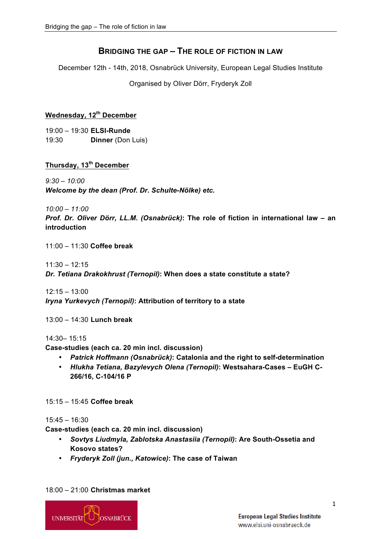## **BRIDGING THE GAP – THE ROLE OF FICTION IN LAW**

December 12th - 14th, 2018, Osnabrück University, European Legal Studies Institute

Organised by Oliver Dörr, Fryderyk Zoll

## **Wednesday, 12th December**

19:00 – 19:30 **ELSI-Runde** 19:30 **Dinner** (Don Luis)

## **Thursday, 13th December**

*9:30 – 10:00 Welcome by the dean (Prof. Dr. Schulte-Nölke) etc.*

*10:00 – 11:00*

*Prof. Dr. Oliver Dörr, LL.M. (Osnabrück)***: The role of fiction in international law – an introduction**

11:00 – 11:30 **Coffee break**

 $11:30 - 12:15$ 

*Dr. Tetiana Drakokhrust (Ternopil)***: When does a state constitute a state?**

 $12:15 - 13:00$ *Iryna Yurkevych (Ternopil)***: Attribution of territory to a state** 

13:00 – 14:30 **Lunch break**

14:30– 15:15

**Case-studies (each ca. 20 min incl. discussion)**

- *Patrick Hoffmann (Osnabrück)***: Catalonia and the right to self-determination**
- *Hlukha Tetiana, Bazylevych Olena (Ternopil)***: Westsahara-Cases – EuGH C-266/16, C-104/16 P**

15:15 – 15:45 **Coffee break**

15:45 – 16:30

**Case-studies (each ca. 20 min incl. discussion)**

- *Sovtys Liudmyla, Zablotska Anastasiia (Ternopil)***: Are South-Ossetia and Kosovo states?**
- *Fryderyk Zoll (jun., Katowice)***: The case of Taiwan**

18:00 – 21:00 **Christmas market**